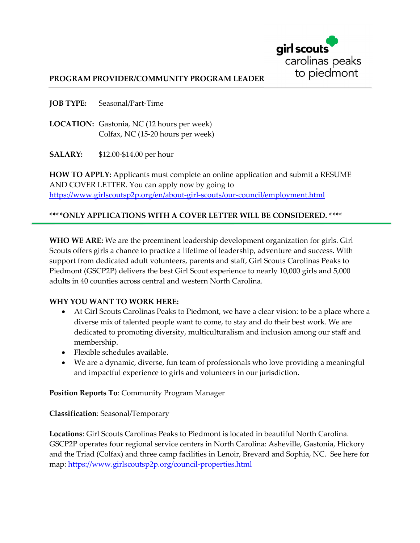

#### **PROGRAM PROVIDER/COMMUNITY PROGRAM LEADER**

**JOB TYPE:** Seasonal/Part-Time

**LOCATION:** Gastonia, NC (12 hours per week) Colfax, NC (15-20 hours per week)

**SALARY:** \$12.00-\$14.00 per hour

**HOW TO APPLY:** Applicants must complete an online application and submit a RESUME AND COVER LETTER. You can apply now by going to <https://www.girlscoutsp2p.org/en/about-girl-scouts/our-council/employment.html>

### **\*\*\*\*ONLY APPLICATIONS WITH A COVER LETTER WILL BE CONSIDERED. \*\*\*\***

**WHO WE ARE:** We are the preeminent leadership development organization for girls. Girl Scouts offers girls a chance to practice a lifetime of leadership, adventure and success. With support from dedicated adult volunteers, parents and staff, Girl Scouts Carolinas Peaks to Piedmont (GSCP2P) delivers the best Girl Scout experience to nearly 10,000 girls and 5,000 adults in 40 counties across central and western North Carolina.

#### **WHY YOU WANT TO WORK HERE:**

- At Girl Scouts Carolinas Peaks to Piedmont, we have a clear vision: to be a place where a diverse mix of talented people want to come, to stay and do their best work. We are dedicated to promoting diversity, multiculturalism and inclusion among our staff and membership.
- · Flexible schedules available.
- · We are a dynamic, diverse, fun team of professionals who love providing a meaningful and impactful experience to girls and volunteers in our jurisdiction.

**Position Reports To**: Community Program Manager

**Classification**: Seasonal/Temporary

**Locations**: Girl Scouts Carolinas Peaks to Piedmont is located in beautiful North Carolina. GSCP2P operates four regional service centers in North Carolina: Asheville, Gastonia, Hickory and the Triad (Colfax) and three camp facilities in Lenoir, Brevard and Sophia, NC. See here for map:<https://www.girlscoutsp2p.org/council-properties.html>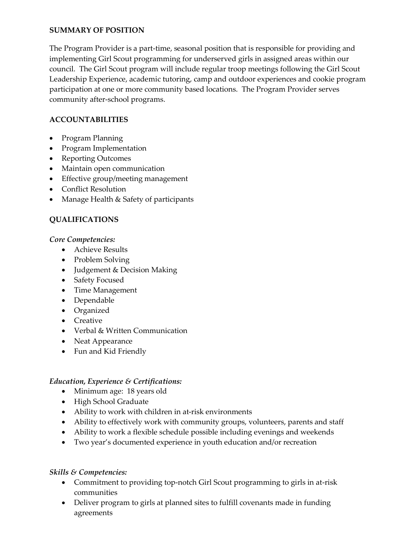### **SUMMARY OF POSITION**

The Program Provider is a part-time, seasonal position that is responsible for providing and implementing Girl Scout programming for underserved girls in assigned areas within our council. The Girl Scout program will include regular troop meetings following the Girl Scout Leadership Experience, academic tutoring, camp and outdoor experiences and cookie program participation at one or more community based locations. The Program Provider serves community after-school programs.

## **ACCOUNTABILITIES**

- · Program Planning
- · Program Implementation
- · Reporting Outcomes
- · Maintain open communication
- · Effective group/meeting management
- · Conflict Resolution
- · Manage Health & Safety of participants

### **QUALIFICATIONS**

*Core Competencies:*

- · Achieve Results
- · Problem Solving
- · Judgement & Decision Making
- · Safety Focused
- · Time Management
- · Dependable
- · Organized
- · Creative
- · Verbal & Written Communication
- · Neat Appearance
- · Fun and Kid Friendly

#### *Education, Experience & Certifications:*

- Minimum age: 18 years old
- · High School Graduate
- Ability to work with children in at-risk environments
- · Ability to effectively work with community groups, volunteers, parents and staff
- · Ability to work a flexible schedule possible including evenings and weekends
- · Two year's documented experience in youth education and/or recreation

## *Skills & Competencies:*

- · Commitment to providing top-notch Girl Scout programming to girls in at-risk communities
- · Deliver program to girls at planned sites to fulfill covenants made in funding agreements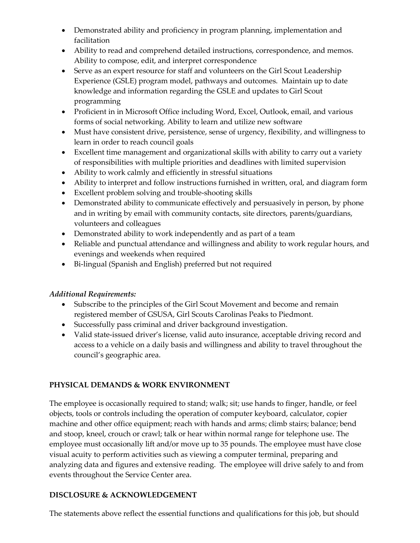- · Demonstrated ability and proficiency in program planning, implementation and facilitation
- · Ability to read and comprehend detailed instructions, correspondence, and memos. Ability to compose, edit, and interpret correspondence
- · Serve as an expert resource for staff and volunteers on the Girl Scout Leadership Experience (GSLE) program model, pathways and outcomes. Maintain up to date knowledge and information regarding the GSLE and updates to Girl Scout programming
- · Proficient in in Microsoft Office including Word, Excel, Outlook, email, and various forms of social networking. Ability to learn and utilize new software
- · Must have consistent drive, persistence, sense of urgency, flexibility, and willingness to learn in order to reach council goals
- · Excellent time management and organizational skills with ability to carry out a variety of responsibilities with multiple priorities and deadlines with limited supervision
- · Ability to work calmly and efficiently in stressful situations
- · Ability to interpret and follow instructions furnished in written, oral, and diagram form
- · Excellent problem solving and trouble-shooting skills
- · Demonstrated ability to communicate effectively and persuasively in person, by phone and in writing by email with community contacts, site directors, parents/guardians, volunteers and colleagues
- · Demonstrated ability to work independently and as part of a team
- · Reliable and punctual attendance and willingness and ability to work regular hours, and evenings and weekends when required
- · Bi-lingual (Spanish and English) preferred but not required

# *Additional Requirements:*

- · Subscribe to the principles of the Girl Scout Movement and become and remain registered member of GSUSA, Girl Scouts Carolinas Peaks to Piedmont.
- · Successfully pass criminal and driver background investigation.
- · Valid state-issued driver's license, valid auto insurance, acceptable driving record and access to a vehicle on a daily basis and willingness and ability to travel throughout the council's geographic area.

# **PHYSICAL DEMANDS & WORK ENVIRONMENT**

The employee is occasionally required to stand; walk; sit; use hands to finger, handle, or feel objects, tools or controls including the operation of computer keyboard, calculator, copier machine and other office equipment; reach with hands and arms; climb stairs; balance; bend and stoop, kneel, crouch or crawl; talk or hear within normal range for telephone use. The employee must occasionally lift and/or move up to 35 pounds. The employee must have close visual acuity to perform activities such as viewing a computer terminal, preparing and analyzing data and figures and extensive reading. The employee will drive safely to and from events throughout the Service Center area.

# **DISCLOSURE & ACKNOWLEDGEMENT**

The statements above reflect the essential functions and qualifications for this job, but should